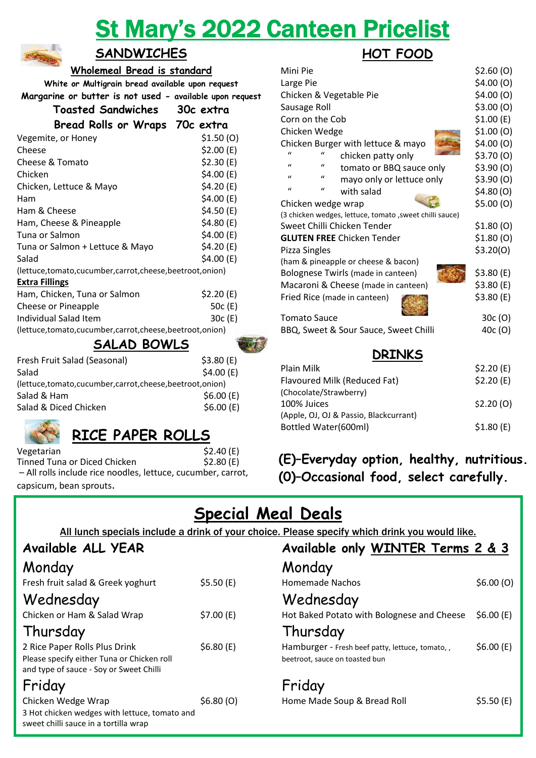# St Mary's 2022 Canteen Pricelist



### **SANDWICHES**

**Wholemeal Bread is standard**

|                                                          | White or Multigrain bread available upon request |  |
|----------------------------------------------------------|--------------------------------------------------|--|
| Margarine or butter is not used - available upon request |                                                  |  |

| Toasted Sandwiches                                     | 30c extra  |
|--------------------------------------------------------|------------|
| <b>Bread Rolls or Wraps</b>                            | 70c extra  |
| Vegemite, or Honey                                     | \$1.50(0)  |
| Cheese                                                 | \$2.00 (E) |
| Cheese & Tomato                                        | \$2.30(E)  |
| Chicken                                                | \$4.00 (E) |
| Chicken, Lettuce & Mayo                                | \$4.20(E)  |
| Ham                                                    | \$4.00(E)  |
| Ham & Cheese                                           | \$4.50 (E) |
| Ham, Cheese & Pineapple                                | \$4.80(E)  |
| Tuna or Salmon                                         | \$4.00 (E) |
| Tuna or Salmon + Lettuce & Mayo                        | \$4.20 (E) |
| Salad                                                  | \$4.00 (E) |
| (lettuce,tomato,cucumber,carrot,cheese,beetroot,onion) |            |
| <b>Extra Fillings</b>                                  |            |
| Ham, Chicken, Tuna or Salmon                           | \$2.20 (E) |
| Cheese or Pineapple                                    | 50c (E)    |
| Individual Salad Item                                  | 30c (E)    |
| (lettuce,tomato,cucumber,carrot,cheese,beetroot,onion) |            |
| CALAN DAMIC                                            |            |

### **SALAD BOWLS**

| Fresh Fruit Salad (Seasonal)                           | \$3.80(E) |  |
|--------------------------------------------------------|-----------|--|
| Salad                                                  | \$4.00(E) |  |
| (lettuce,tomato,cucumber,carrot,cheese,beetroot,onion) |           |  |
| Salad & Ham                                            | \$6.00(E) |  |
| Salad & Diced Chicken                                  | \$6.00(E) |  |
|                                                        |           |  |

# **RICE PAPER ROLLS**

Vegetarian \$2.40 (E) Tinned Tuna or Diced Chicken  $$2.80$  (E) – All rolls include rice noodles, lettuce, cucumber, carrot,

capsicum, bean sprouts.

# **HOT FOOD**

| Mini Pie                                                  | \$2.60(0)  |  |  |
|-----------------------------------------------------------|------------|--|--|
| Large Pie                                                 | \$4.00(0)  |  |  |
| Chicken & Vegetable Pie                                   | \$4.00(0)  |  |  |
| Sausage Roll                                              | \$3.00(0)  |  |  |
| Corn on the Cob                                           | \$1.00 (E) |  |  |
| Chicken Wedge                                             | \$1.00(0)  |  |  |
| Chicken Burger with lettuce & mayo                        | \$4.00 (O) |  |  |
| chicken patty only                                        | \$3.70(0)  |  |  |
| $\mathbf{u}$<br>$\mathbf{u}$<br>tomato or BBQ sauce only  | \$3.90(0)  |  |  |
| $\mathbf{u}$<br>$\mathbf{u}$<br>mayo only or lettuce only | \$3.90(0)  |  |  |
| $\mathbf{u}$<br>$\mathcal{U}$<br>with salad               | \$4.80(0)  |  |  |
| Chicken wedge wrap                                        | \$5.00(0)  |  |  |
| (3 chicken wedges, lettuce, tomato, sweet chilli sauce)   |            |  |  |
| Sweet Chilli Chicken Tender                               | \$1.80 (O) |  |  |
| <b>GLUTEN FREE Chicken Tender</b>                         | \$1.80(0)  |  |  |
| Pizza Singles                                             | \$3.20(0)  |  |  |
| (ham & pineapple or cheese & bacon)                       |            |  |  |
| Bolognese Twirls (made in canteen)                        | \$3.80 (E) |  |  |
| Macaroni & Cheese (made in canteen)                       | \$3.80 (E) |  |  |
| Fried Rice (made in canteen)                              | \$3.80 (E) |  |  |
| <b>Tomato Sauce</b>                                       | 30c (O)    |  |  |
| BBQ, Sweet & Sour Sauce, Sweet Chilli                     | 40c (O)    |  |  |
| NDTNIƘC                                                   |            |  |  |

| <b>DRINKS</b>                          |           |
|----------------------------------------|-----------|
| Plain Milk                             | \$2.20(E) |
| Flavoured Milk (Reduced Fat)           | \$2.20(E) |
| (Chocolate/Strawberry)                 |           |
| 100% Juices                            | \$2.20(0) |
| (Apple, OJ, OJ & Passio, Blackcurrant) |           |
| Bottled Water(600ml)                   | \$1.80(E) |

# **(E)–Everyday option, healthy, nutritious. (0)–Occasional food, select carefully.**

# **Special Meal Deals**

All lunch specials include a drink of your choice. Please specify which drink you would like.

### **Available ALL YEAR Available only WINTER Terms 2 & 3**

| Monday                                                                                                                 |           | Monday                                           |
|------------------------------------------------------------------------------------------------------------------------|-----------|--------------------------------------------------|
| Fresh fruit salad & Greek yoghurt                                                                                      | \$5.50(E) | Homemade Nachos                                  |
| Wednesday                                                                                                              |           | Wednesday                                        |
| Chicken or Ham & Salad Wrap                                                                                            | \$7.00(E) | Hot Baked Potato w                               |
| Thursday                                                                                                               |           | Thursday                                         |
| 2 Rice Paper Rolls Plus Drink<br>Please specify either Tuna or Chicken roll<br>and type of sauce - Soy or Sweet Chilli | \$6.80(E) | Hamburger - Fresh be<br>beetroot, sauce on toast |
| Friday                                                                                                                 |           | Friday                                           |
| Chicken Wedge Wrap<br>3 Hot chicken wedges with lettuce, tomato and                                                    | \$6.80(0) | Home Made Soup &                                 |

| Available ALL YEAR                                                                                                     |           | Available only WINTER Terms 2 & 3                                                 |           |
|------------------------------------------------------------------------------------------------------------------------|-----------|-----------------------------------------------------------------------------------|-----------|
| Monday                                                                                                                 |           | Monday                                                                            |           |
| Fresh fruit salad & Greek yoghurt                                                                                      | \$5.50(E) | <b>Homemade Nachos</b>                                                            | \$6.00(0) |
| Wednesday                                                                                                              |           | Wednesday                                                                         |           |
| Chicken or Ham & Salad Wrap                                                                                            | \$7.00(E) | Hot Baked Potato with Bolognese and Cheese                                        | \$6.00(E) |
| Thursday                                                                                                               |           | Thursday                                                                          |           |
| 2 Rice Paper Rolls Plus Drink<br>Please specify either Tuna or Chicken roll<br>and type of sauce - Soy or Sweet Chilli | \$6.80(E) | Hamburger - Fresh beef patty, lettuce, tomato,,<br>beetroot, sauce on toasted bun | \$6.00(E) |
| Friday                                                                                                                 |           | Friday                                                                            |           |
| Chicken Wedge Wrap<br>3 Hot chicken wedges with lettuce, tomato and<br>sweet chilli sauce in a tortilla wrap           | \$6.80(0) | Home Made Soup & Bread Roll                                                       | \$5.50(E) |